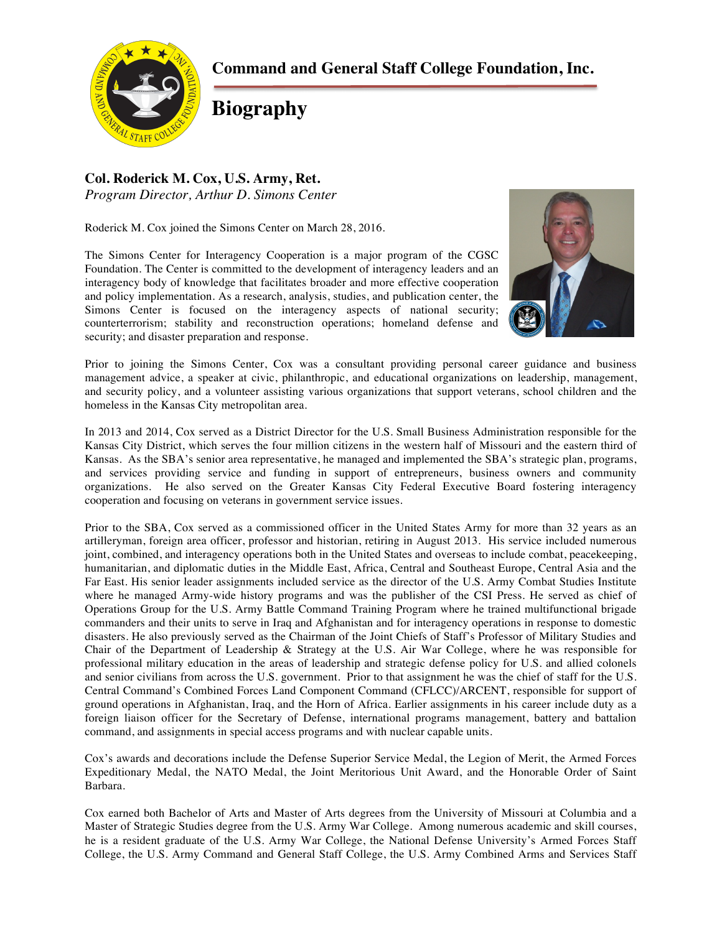**Command and General Staff College Foundation, Inc.**



**Biography**

## **Col. Roderick M. Cox, U.S. Army, Ret.** *Program Director, Arthur D. Simons Center*

Roderick M. Cox joined the Simons Center on March 28, 2016.

The Simons Center for Interagency Cooperation is a major program of the CGSC Foundation. The Center is committed to the development of interagency leaders and an interagency body of knowledge that facilitates broader and more effective cooperation and policy implementation. As a research, analysis, studies, and publication center, the Simons Center is focused on the interagency aspects of national security; counterterrorism; stability and reconstruction operations; homeland defense and security; and disaster preparation and response.



Prior to joining the Simons Center, Cox was a consultant providing personal career guidance and business management advice, a speaker at civic, philanthropic, and educational organizations on leadership, management, and security policy, and a volunteer assisting various organizations that support veterans, school children and the homeless in the Kansas City metropolitan area.

In 2013 and 2014, Cox served as a District Director for the U.S. Small Business Administration responsible for the Kansas City District, which serves the four million citizens in the western half of Missouri and the eastern third of Kansas. As the SBA's senior area representative, he managed and implemented the SBA's strategic plan, programs, and services providing service and funding in support of entrepreneurs, business owners and community organizations. He also served on the Greater Kansas City Federal Executive Board fostering interagency cooperation and focusing on veterans in government service issues.

Prior to the SBA, Cox served as a commissioned officer in the United States Army for more than 32 years as an artilleryman, foreign area officer, professor and historian, retiring in August 2013. His service included numerous joint, combined, and interagency operations both in the United States and overseas to include combat, peacekeeping, humanitarian, and diplomatic duties in the Middle East, Africa, Central and Southeast Europe, Central Asia and the Far East. His senior leader assignments included service as the director of the U.S. Army Combat Studies Institute where he managed Army-wide history programs and was the publisher of the CSI Press. He served as chief of Operations Group for the U.S. Army Battle Command Training Program where he trained multifunctional brigade commanders and their units to serve in Iraq and Afghanistan and for interagency operations in response to domestic disasters. He also previously served as the Chairman of the Joint Chiefs of Staff's Professor of Military Studies and Chair of the Department of Leadership & Strategy at the U.S. Air War College, where he was responsible for professional military education in the areas of leadership and strategic defense policy for U.S. and allied colonels and senior civilians from across the U.S. government. Prior to that assignment he was the chief of staff for the U.S. Central Command's Combined Forces Land Component Command (CFLCC)/ARCENT, responsible for support of ground operations in Afghanistan, Iraq, and the Horn of Africa. Earlier assignments in his career include duty as a foreign liaison officer for the Secretary of Defense, international programs management, battery and battalion command, and assignments in special access programs and with nuclear capable units.

Cox's awards and decorations include the Defense Superior Service Medal, the Legion of Merit, the Armed Forces Expeditionary Medal, the NATO Medal, the Joint Meritorious Unit Award, and the Honorable Order of Saint Barbara.

Cox earned both Bachelor of Arts and Master of Arts degrees from the University of Missouri at Columbia and a Master of Strategic Studies degree from the U.S. Army War College. Among numerous academic and skill courses, he is a resident graduate of the U.S. Army War College, the National Defense University's Armed Forces Staff College, the U.S. Army Command and General Staff College, the U.S. Army Combined Arms and Services Staff